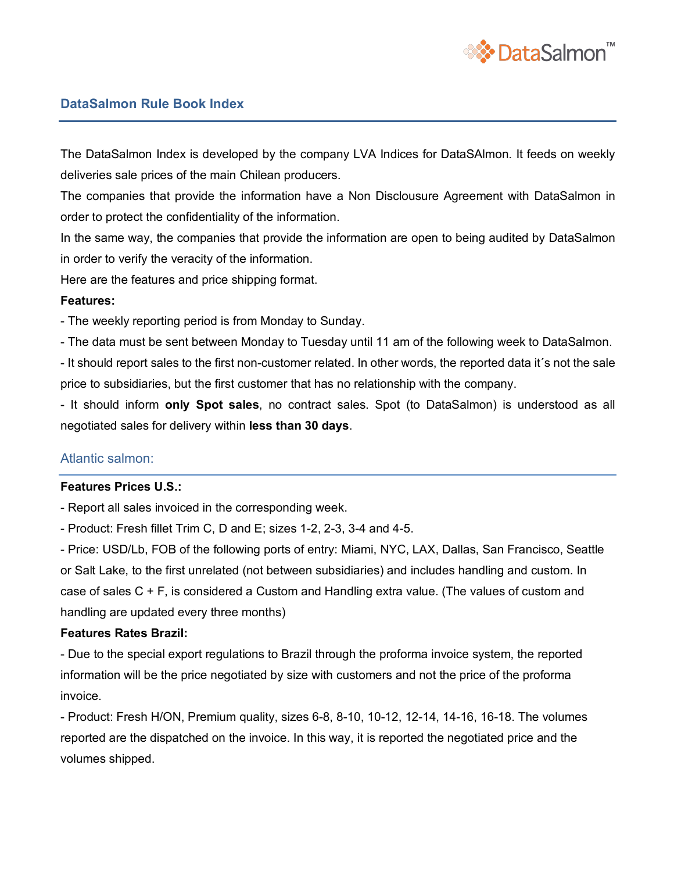

# **DataSalmon Rule Book Index**

The DataSalmon Index is developed by the company LVA Indices for DataSAlmon. It feeds on weekly deliveries sale prices of the main Chilean producers.

The companies that provide the information have a Non Disclousure Agreement with DataSalmon in order to protect the confidentiality of the information.

In the same way, the companies that provide the information are open to being audited by DataSalmon in order to verify the veracity of the information.

Here are the features and price shipping format.

## **Features:**

- The weekly reporting period is from Monday to Sunday.

- The data must be sent between Monday to Tuesday until 11 am of the following week to DataSalmon.

- It should report sales to the first non-customer related. In other words, the reported data it´s not the sale price to subsidiaries, but the first customer that has no relationship with the company.

- It should inform **only Spot sales**, no contract sales. Spot (to DataSalmon) is understood as all negotiated sales for delivery within **less than 30 days**.

## Atlantic salmon:

## **Features Prices U.S.:**

- Report all sales invoiced in the corresponding week.

- Product: Fresh fillet Trim C, D and E; sizes 1-2, 2-3, 3-4 and 4-5.

- Price: USD/Lb, FOB of the following ports of entry: Miami, NYC, LAX, Dallas, San Francisco, Seattle or Salt Lake, to the first unrelated (not between subsidiaries) and includes handling and custom. In case of sales C + F, is considered a Custom and Handling extra value. (The values of custom and handling are updated every three months)

## **Features Rates Brazil:**

- Due to the special export regulations to Brazil through the proforma invoice system, the reported information will be the price negotiated by size with customers and not the price of the proforma invoice.

- Product: Fresh H/ON, Premium quality, sizes 6-8, 8-10, 10-12, 12-14, 14-16, 16-18. The volumes reported are the dispatched on the invoice. In this way, it is reported the negotiated price and the volumes shipped.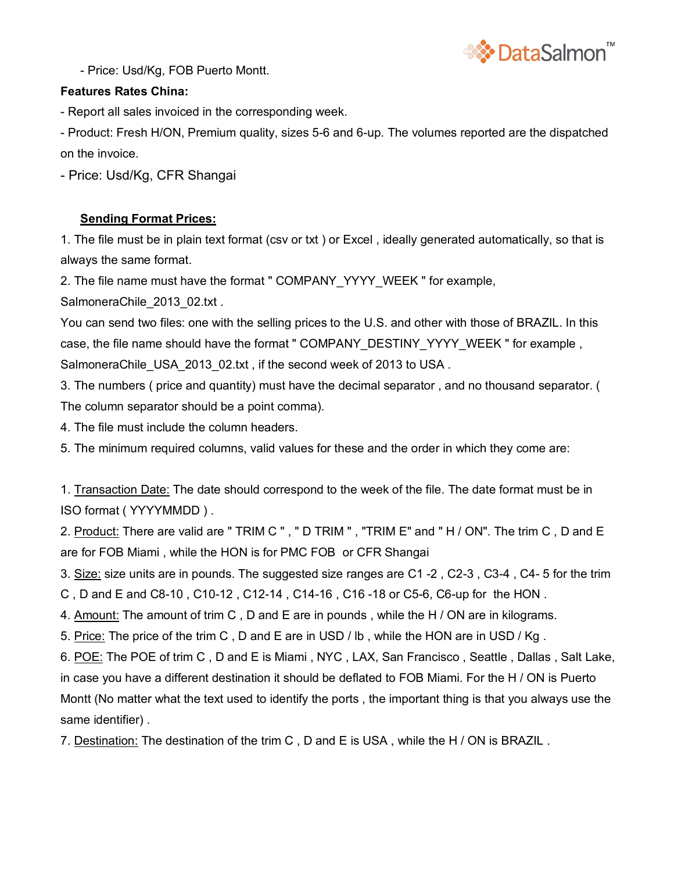

- Price: Usd/Kg, FOB Puerto Montt.

## **Features Rates China:**

- Report all sales invoiced in the corresponding week.

- Product: Fresh H/ON, Premium quality, sizes 5-6 and 6-up. The volumes reported are the dispatched on the invoice.

- Price: Usd/Kg, CFR Shangai

# **Sending Format Prices:**

1. The file must be in plain text format (csv or txt ) or Excel , ideally generated automatically, so that is always the same format.

2. The file name must have the format " COMPANY\_YYYY\_WEEK " for example,

SalmoneraChile\_2013\_02.txt .

You can send two files: one with the selling prices to the U.S. and other with those of BRAZIL. In this case, the file name should have the format " COMPANY\_DESTINY\_YYYY\_WEEK " for example , SalmoneraChile\_USA\_2013\_02.txt, if the second week of 2013 to USA.

3. The numbers ( price and quantity) must have the decimal separator , and no thousand separator. ( The column separator should be a point comma).

4. The file must include the column headers.

5. The minimum required columns, valid values for these and the order in which they come are:

1. Transaction Date: The date should correspond to the week of the file. The date format must be in ISO format ( YYYYMMDD ) .

2. Product: There are valid are " TRIM C ", " D TRIM ", "TRIM E" and " H / ON". The trim C, D and E are for FOB Miami , while the HON is for PMC FOB or CFR Shangai

3. Size: size units are in pounds. The suggested size ranges are C1 -2 , C2-3 , C3-4 , C4- 5 for the trim

C , D and E and C8-10 , C10-12 , C12-14 , C14-16 , C16 -18 or C5-6, C6-up for the HON .

4. Amount: The amount of trim C , D and E are in pounds , while the H / ON are in kilograms.

5. Price: The price of the trim C , D and E are in USD / lb , while the HON are in USD / Kg .

6. POE: The POE of trim C , D and E is Miami , NYC , LAX, San Francisco , Seattle , Dallas , Salt Lake, in case you have a different destination it should be deflated to FOB Miami. For the H / ON is Puerto Montt (No matter what the text used to identify the ports , the important thing is that you always use the same identifier) .

7. Destination: The destination of the trim C , D and E is USA , while the H / ON is BRAZIL .